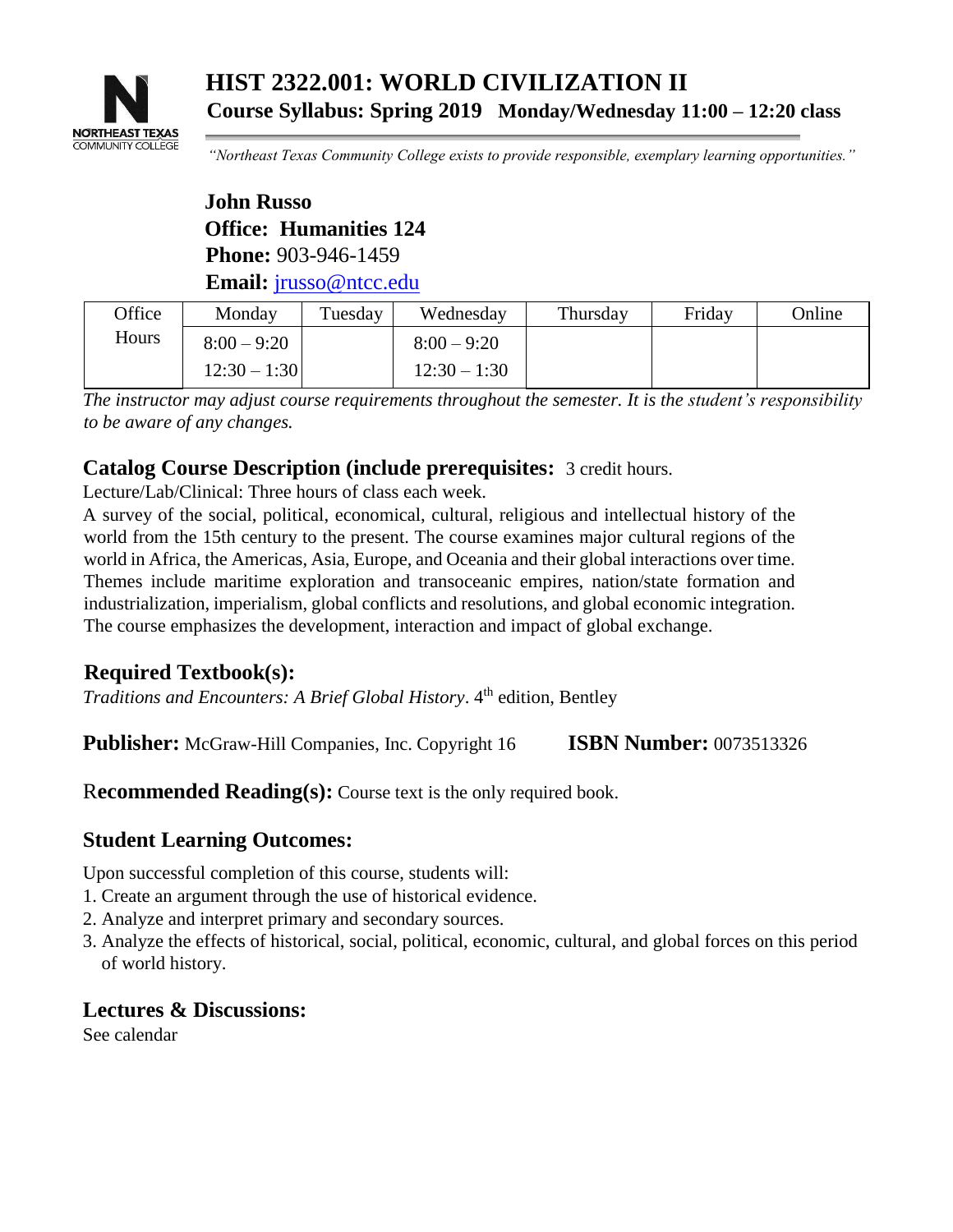

**HIST 2322.001: WORLD CIVILIZATION II Course Syllabus: Spring 2019 Monday/Wednesday 11:00 – 12:20 class**

*"Northeast Texas Community College exists to provide responsible, exemplary learning opportunities."*

**John Russo Office: Humanities 124 Phone:** 903-946-1459 **Email:** jrusso@ntcc.edu

| Office | Monday         | Tuesday | Wednesday      | Thursday | Friday | Online |
|--------|----------------|---------|----------------|----------|--------|--------|
| Hours  | $8:00 - 9:20$  |         | $8:00 - 9:20$  |          |        |        |
|        | $12:30 - 1:30$ |         | $12:30 - 1:30$ |          |        |        |

*The instructor may adjust course requirements throughout the semester. It is the student's responsibility to be aware of any changes.*

### **Catalog Course Description (include prerequisites:** 3 credit hours.

Lecture/Lab/Clinical: Three hours of class each week.

A survey of the social, political, economical, cultural, religious and intellectual history of the world from the 15th century to the present. The course examines major cultural regions of the world in Africa, the Americas, Asia, Europe, and Oceania and their global interactions over time. Themes include maritime exploration and transoceanic empires, nation/state formation and industrialization, imperialism, global conflicts and resolutions, and global economic integration. The course emphasizes the development, interaction and impact of global exchange.

# **Required Textbook(s):**

*Traditions and Encounters: A Brief Global History.* 4<sup>th</sup> edition, Bentley

**Publisher:** McGraw-Hill Companies, Inc. Copyright 16 **ISBN Number:** 0073513326

R**ecommended Reading(s):** Course text is the only required book.

### **Student Learning Outcomes:**

Upon successful completion of this course, students will:

- 1. Create an argument through the use of historical evidence.
- 2. Analyze and interpret primary and secondary sources.
- 3. Analyze the effects of historical, social, political, economic, cultural, and global forces on this period of world history.

### **Lectures & Discussions:**

See calendar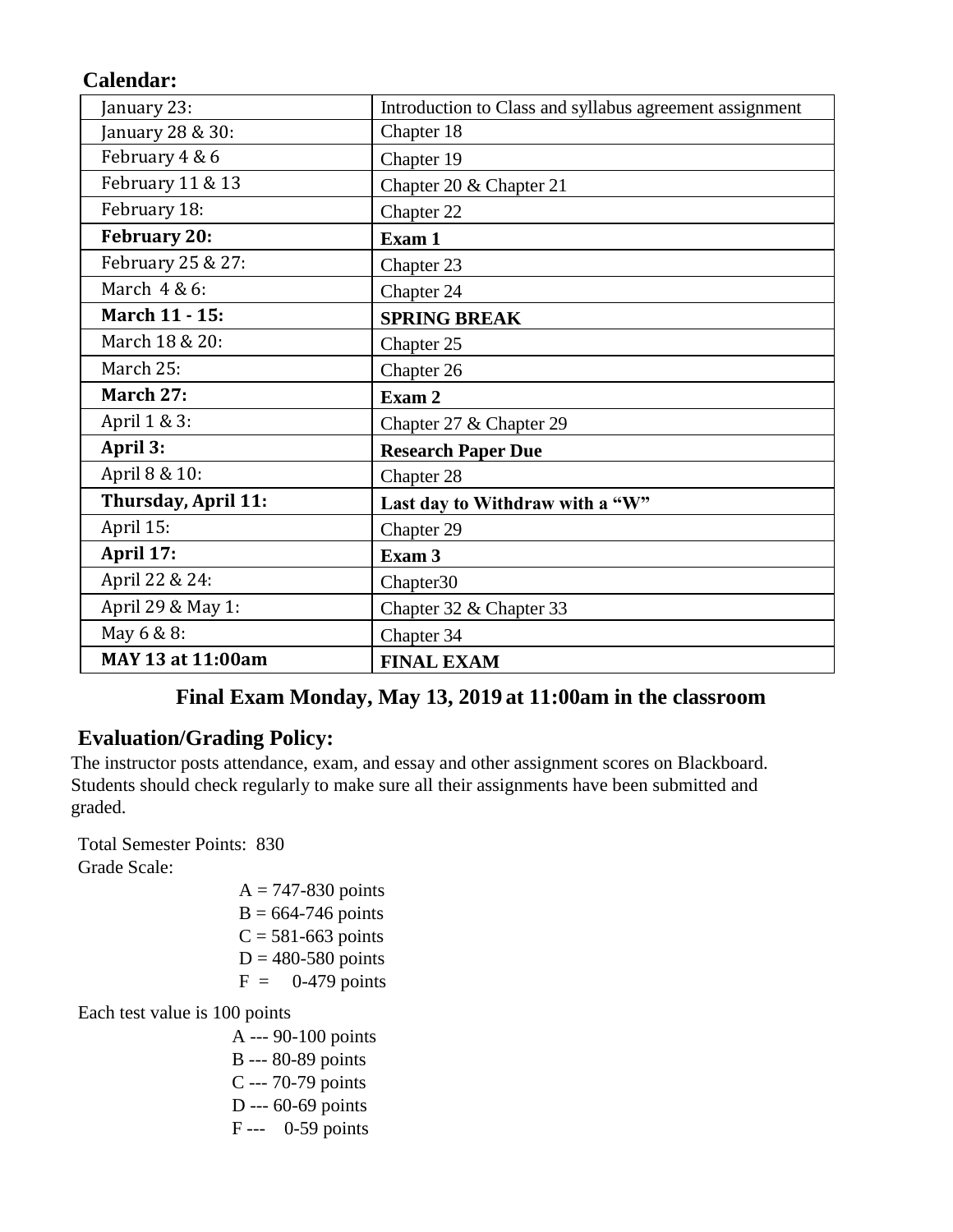# **Calendar:**

| January 23:         | Introduction to Class and syllabus agreement assignment |
|---------------------|---------------------------------------------------------|
| January 28 & 30:    | Chapter 18                                              |
| February 4 & 6      | Chapter 19                                              |
| February 11 & 13    | Chapter 20 & Chapter 21                                 |
| February 18:        | Chapter 22                                              |
| <b>February 20:</b> | Exam 1                                                  |
| February 25 & 27:   | Chapter 23                                              |
| March 4 & 6:        | Chapter 24                                              |
| March 11 - 15:      | <b>SPRING BREAK</b>                                     |
| March 18 & 20:      | Chapter 25                                              |
| March 25:           | Chapter 26                                              |
|                     |                                                         |
| March 27:           | Exam 2                                                  |
| April 1 & 3:        | Chapter 27 & Chapter 29                                 |
| April 3:            | <b>Research Paper Due</b>                               |
| April 8 & 10:       | Chapter 28                                              |
| Thursday, April 11: | Last day to Withdraw with a "W"                         |
| April 15:           | Chapter 29                                              |
| April 17:           | Exam 3                                                  |
| April 22 & 24:      | Chapter30                                               |
| April 29 & May 1:   | Chapter 32 & Chapter 33                                 |
| May 6 & 8:          | Chapter 34                                              |

# **Final Exam Monday, May 13, 2019 at 11:00am in the classroom**

## **Evaluation/Grading Policy:**

The instructor posts attendance, exam, and essay and other assignment scores on Blackboard. Students should check regularly to make sure all their assignments have been submitted and graded.

Total Semester Points: 830 Grade Scale:

 $A = 747-830$  points  $B = 664-746$  points  $C = 581-663$  points  $D = 480-580$  points  $F = 0-479$  points

Each test value is 100 points

A --- 90-100 points B --- 80-89 points C --- 70-79 points D --- 60-69 points F --- 0-59 points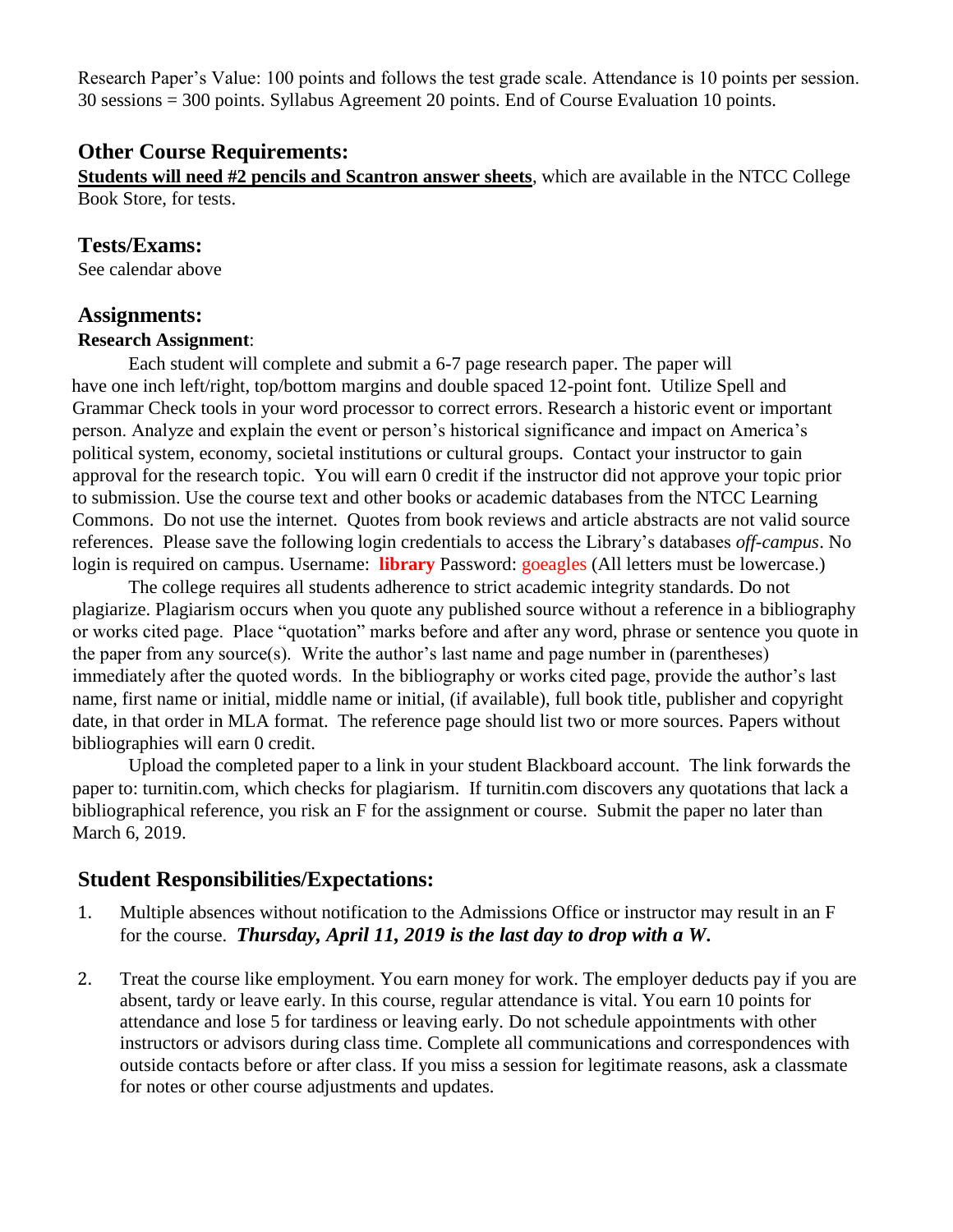Research Paper's Value: 100 points and follows the test grade scale. Attendance is 10 points per session. 30 sessions = 300 points. Syllabus Agreement 20 points. End of Course Evaluation 10 points.

### **Other Course Requirements:**

**Students will need #2 pencils and Scantron answer sheets**, which are available in the NTCC College Book Store, for tests.

### **Tests/Exams:**

See calendar above

#### **Assignments:**

#### **Research Assignment**:

Each student will complete and submit a 6-7 page research paper. The paper will have one inch left/right, top/bottom margins and double spaced 12-point font. Utilize Spell and Grammar Check tools in your word processor to correct errors. Research a historic event or important person. Analyze and explain the event or person's historical significance and impact on America's political system, economy, societal institutions or cultural groups. Contact your instructor to gain approval for the research topic. You will earn 0 credit if the instructor did not approve your topic prior to submission. Use the course text and other books or academic databases from the NTCC Learning Commons. Do not use the internet. Quotes from book reviews and article abstracts are not valid source references. Please save the following login credentials to access the Library's databases *off-campus*. No login is required on campus. Username: **library** Password: goeagles (All letters must be lowercase.)

The college requires all students adherence to strict academic integrity standards. Do not plagiarize. Plagiarism occurs when you quote any published source without a reference in a bibliography or works cited page. Place "quotation" marks before and after any word, phrase or sentence you quote in the paper from any source(s). Write the author's last name and page number in (parentheses) immediately after the quoted words. In the bibliography or works cited page, provide the author's last name, first name or initial, middle name or initial, (if available), full book title, publisher and copyright date, in that order in MLA format. The reference page should list two or more sources. Papers without bibliographies will earn 0 credit.

Upload the completed paper to a link in your student Blackboard account. The link forwards the paper to: turnitin.com, which checks for plagiarism. If turnitin.com discovers any quotations that lack a bibliographical reference, you risk an F for the assignment or course. Submit the paper no later than March 6, 2019.

### **Student Responsibilities/Expectations:**

- 1. Multiple absences without notification to the Admissions Office or instructor may result in an F for the course. *Thursday, April 11, 2019 is the last day to drop with a W***.**
- 2. Treat the course like employment. You earn money for work. The employer deducts pay if you are absent, tardy or leave early. In this course, regular attendance is vital. You earn 10 points for attendance and lose 5 for tardiness or leaving early. Do not schedule appointments with other instructors or advisors during class time. Complete all communications and correspondences with outside contacts before or after class. If you miss a session for legitimate reasons, ask a classmate for notes or other course adjustments and updates.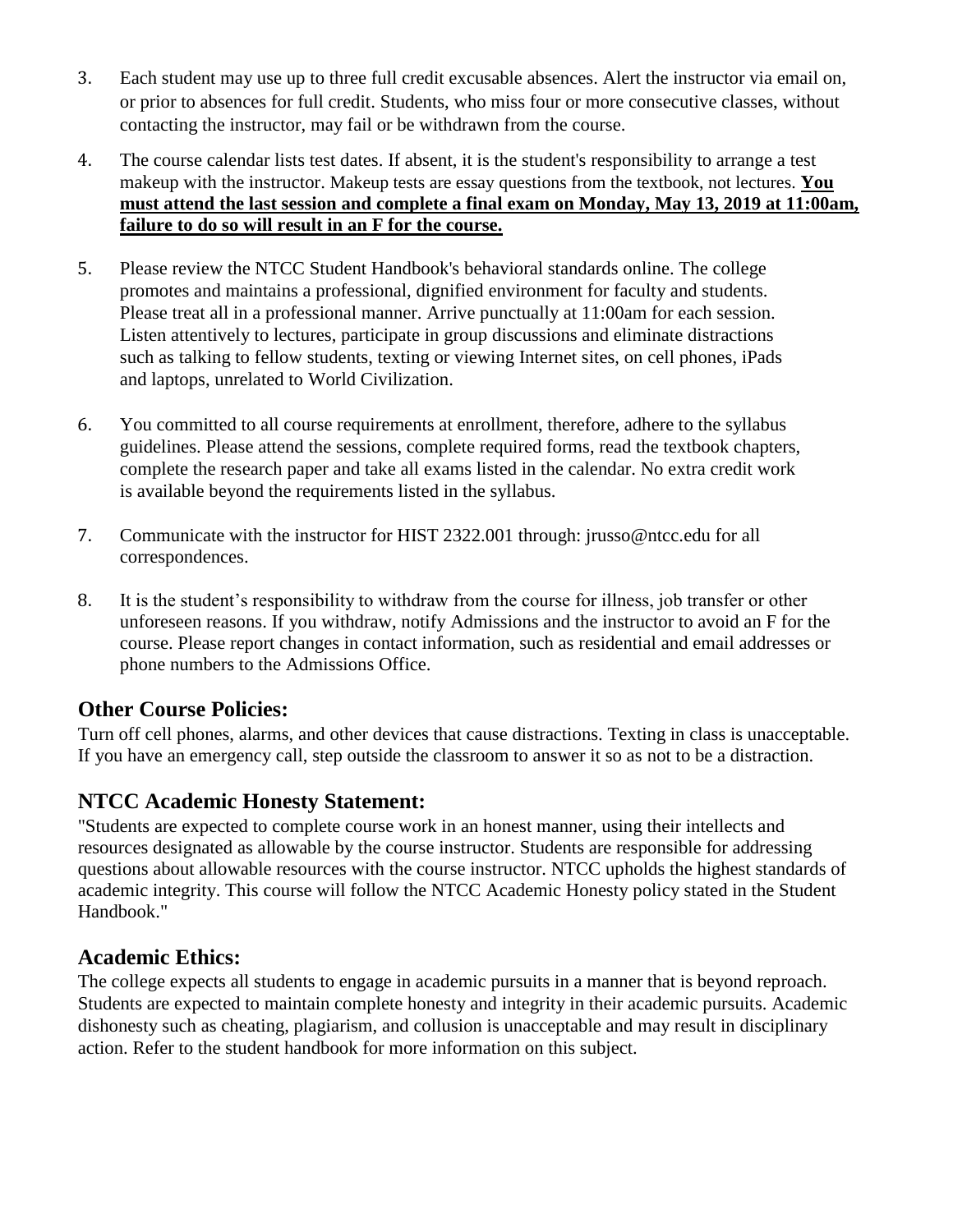- 3. Each student may use up to three full credit excusable absences. Alert the instructor via email on, or prior to absences for full credit. Students, who miss four or more consecutive classes, without contacting the instructor, may fail or be withdrawn from the course.
- 4. The course calendar lists test dates. If absent, it is the student's responsibility to arrange a test makeup with the instructor. Makeup tests are essay questions from the textbook, not lectures. **You must attend the last session and complete a final exam on Monday, May 13, 2019 at 11:00am, failure to do so will result in an F for the course.**
- 5. Please review the NTCC Student Handbook's behavioral standards online. The college promotes and maintains a professional, dignified environment for faculty and students. Please treat all in a professional manner. Arrive punctually at 11:00am for each session. Listen attentively to lectures, participate in group discussions and eliminate distractions such as talking to fellow students, texting or viewing Internet sites, on cell phones, iPads and laptops, unrelated to World Civilization.
- 6. You committed to all course requirements at enrollment, therefore, adhere to the syllabus guidelines. Please attend the sessions, complete required forms, read the textbook chapters, complete the research paper and take all exams listed in the calendar. No extra credit work is available beyond the requirements listed in the syllabus.
- 7. Communicate with the instructor for HIST 2322.001 through: jrusso@ntcc.edu for all correspondences.
- 8. It is the student's responsibility to withdraw from the course for illness, job transfer or other unforeseen reasons. If you withdraw, notify Admissions and the instructor to avoid an F for the course. Please report changes in contact information, such as residential and email addresses or phone numbers to the Admissions Office.

# **Other Course Policies:**

Turn off cell phones, alarms, and other devices that cause distractions. Texting in class is unacceptable. If you have an emergency call, step outside the classroom to answer it so as not to be a distraction.

### **NTCC Academic Honesty Statement:**

"Students are expected to complete course work in an honest manner, using their intellects and resources designated as allowable by the course instructor. Students are responsible for addressing questions about allowable resources with the course instructor. NTCC upholds the highest standards of academic integrity. This course will follow the NTCC Academic Honesty policy stated in the Student Handbook."

### **Academic Ethics:**

The college expects all students to engage in academic pursuits in a manner that is beyond reproach. Students are expected to maintain complete honesty and integrity in their academic pursuits. Academic dishonesty such as cheating, plagiarism, and collusion is unacceptable and may result in disciplinary action. Refer to the student handbook for more information on this subject.